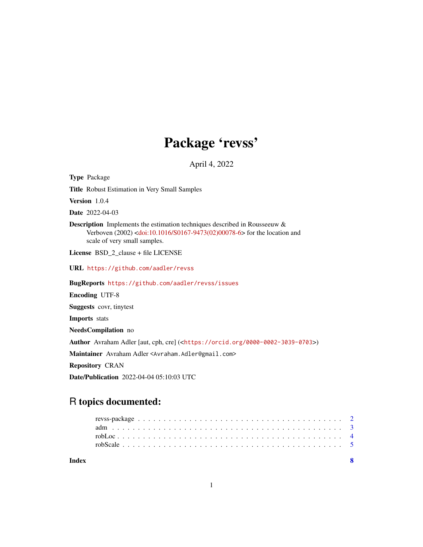## Package 'revss'

April 4, 2022

<span id="page-0-0"></span>Type Package

Title Robust Estimation in Very Small Samples

Version 1.0.4

Date 2022-04-03

Description Implements the estimation techniques described in Rousseeuw & Verboven (2002) [<doi:10.1016/S0167-9473\(02\)00078-6>](https://doi.org/10.1016/S0167-9473(02)00078-6) for the location and scale of very small samples.

License BSD\_2\_clause + file LICENSE

URL <https://github.com/aadler/revss>

BugReports <https://github.com/aadler/revss/issues>

Encoding UTF-8

Suggests covr, tinytest

Imports stats

NeedsCompilation no

Author Avraham Adler [aut, cph, cre] (<<https://orcid.org/0000-0002-3039-0703>>)

Maintainer Avraham Adler <Avraham.Adler@gmail.com>

Repository CRAN

Date/Publication 2022-04-04 05:10:03 UTC

### R topics documented:

| Index |  |  |  |  |  |  |  |  |  |  |  |  |  |  |  |  |  |  |  |
|-------|--|--|--|--|--|--|--|--|--|--|--|--|--|--|--|--|--|--|--|
|       |  |  |  |  |  |  |  |  |  |  |  |  |  |  |  |  |  |  |  |
|       |  |  |  |  |  |  |  |  |  |  |  |  |  |  |  |  |  |  |  |
|       |  |  |  |  |  |  |  |  |  |  |  |  |  |  |  |  |  |  |  |
|       |  |  |  |  |  |  |  |  |  |  |  |  |  |  |  |  |  |  |  |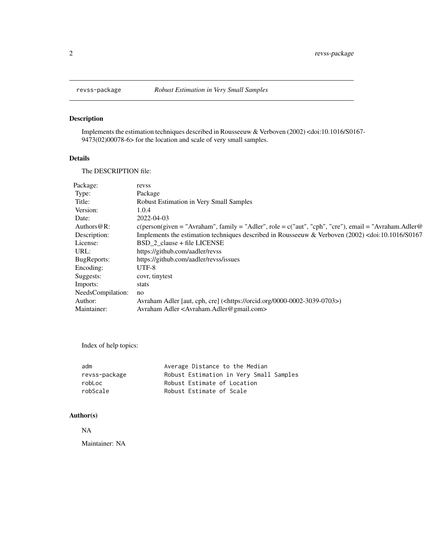#### Description

Implements the estimation techniques described in Rousseeuw & Verboven (2002) <doi:10.1016/S0167- 9473(02)00078-6> for the location and scale of very small samples.

#### Details

The DESCRIPTION file:

| Package:           | revss                                                                                                                       |
|--------------------|-----------------------------------------------------------------------------------------------------------------------------|
| Type:              | Package                                                                                                                     |
| Title:             | Robust Estimation in Very Small Samples                                                                                     |
| Version:           | 1.0.4                                                                                                                       |
| Date:              | 2022-04-03                                                                                                                  |
| Authors $@R$ :     | $c(\text{person}(\text{given} = "Avraham", family = "Adler", role = c("aut", "cph", "cre"), email = "Avraham.Adler@")$      |
| Description:       | Implements the estimation techniques described in Rousseeuw & Verboven $(2002)$ <doi:10.1016 s0167<="" td=""></doi:10.1016> |
| License:           | BSD 2 clause + file LICENSE                                                                                                 |
| URL:               | https://github.com/aadler/revss                                                                                             |
| <b>BugReports:</b> | https://github.com/aadler/revss/issues                                                                                      |
| Encoding:          | UTF-8                                                                                                                       |
| Suggests:          | covr, tinytest                                                                                                              |
| Imports:           | stats                                                                                                                       |
| NeedsCompilation:  | no                                                                                                                          |
| Author:            | Avraham Adler [aut, cph, cre] ( <https: 0000-0002-3039-0703="" orcid.org="">)</https:>                                      |
| Maintainer:        | Avraham Adler <avraham.adler@gmail.com></avraham.adler@gmail.com>                                                           |
|                    |                                                                                                                             |

Index of help topics:

| adm           | Average Distance to the Median          |
|---------------|-----------------------------------------|
| revss-package | Robust Estimation in Very Small Samples |
| robLoc        | Robust Estimate of Location             |
| robScale      | Robust Estimate of Scale                |

#### Author(s)

#### NA

Maintainer: NA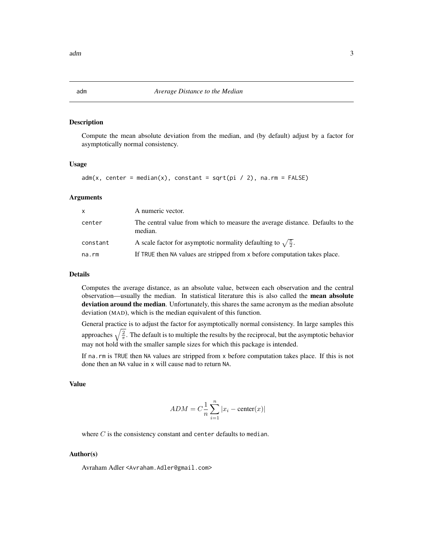#### Description

Compute the mean absolute deviation from the median, and (by default) adjust by a factor for asymptotically normal consistency.

#### Usage

```
adm(x, center = median(x), constant = sqrt(pi / 2), na.rm = FALSE)
```
#### Arguments

| x        | A numeric vector.                                                                        |
|----------|------------------------------------------------------------------------------------------|
| center   | The central value from which to measure the average distance. Defaults to the<br>median. |
| constant | A scale factor for asymptotic normality defaulting to $\sqrt{\frac{\pi}{2}}$ .           |
| na.rm    | If TRUE then NA values are stripped from x before computation takes place.               |

#### Details

Computes the average distance, as an absolute value, between each observation and the central observation—usually the median. In statistical literature this is also called the mean absolute deviation around the median. Unfortunately, this shares the same acronym as the median absolute deviation (MAD), which is the median equivalent of this function.

General practice is to adjust the factor for asymptotically normal consistency. In large samples this approaches  $\sqrt{\frac{2}{\pi}}$ . The default is to multiple the results by the reciprocal, but the asymptotic behavior may not hold with the smaller sample sizes for which this package is intended.

If na.rm is TRUE then NA values are stripped from x before computation takes place. If this is not done then an NA value in x will cause mad to return NA.

#### Value

$$
ADM = C\frac{1}{n}\sum_{i=1}^{n}|x_i - \text{center}(x)|
$$

where  $C$  is the consistency constant and center defaults to median.

#### Author(s)

Avraham Adler <Avraham.Adler@gmail.com>

<span id="page-2-1"></span><span id="page-2-0"></span>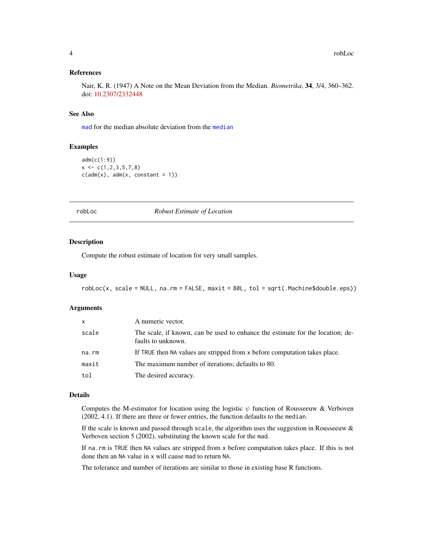#### <span id="page-3-0"></span>References

Nair, K. R. (1947) A Note on the Mean Deviation from the Median. *Biometrika*, 34, 3/4, 360–362. doi: [10.2307/2332448](https://doi.org/10.2307/2332448)

#### See Also

[mad](#page-0-0) for the median absolute deviation from the [median](#page-0-0)

#### Examples

```
adm(c(1:9))
x \leftarrow c(1, 2, 3, 5, 7, 8)c(\text{adm}(x), \text{adm}(x, \text{ constant = 1}))
```
<span id="page-3-1"></span>

robLoc *Robust Estimate of Location*

#### Description

Compute the robust estimate of location for very small samples.

#### Usage

robLoc(x, scale = NULL, na.rm = FALSE, maxit = 80L, tol = sqrt(.Machine\$double.eps))

#### Arguments

| x     | A numeric vector.                                                                                    |
|-------|------------------------------------------------------------------------------------------------------|
| scale | The scale, if known, can be used to enhance the estimate for the location; de-<br>faults to unknown. |
| na.rm | If TRUE then NA values are stripped from x before computation takes place.                           |
| maxit | The maximum number of iterations; defaults to 80.                                                    |
| tol   | The desired accuracy.                                                                                |

#### Details

Computes the M-estimator for location using the logistic  $\psi$  function of Rousseeuw & Verboven (2002, 4.1). If there are three or fewer entries, the function defaults to the median.

If the scale is known and passed through scale, the algorithm uses the suggestion in Rousseeuw  $\&$ Verboven section 5 (2002), substituting the known scale for the mad.

If na.rm is TRUE then NA values are stripped from x before computation takes place. If this is not done then an NA value in x will cause mad to return NA.

The tolerance and number of iterations are similar to those in existing base R functions.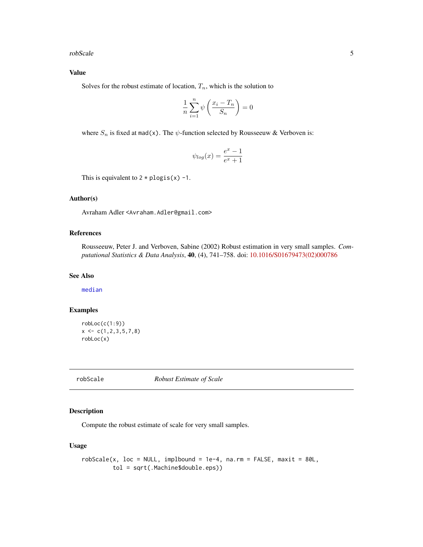<span id="page-4-0"></span>robScale 5

#### Value

Solves for the robust estimate of location,  $T_n$ , which is the solution to

$$
\frac{1}{n}\sum_{i=1}^{n} \psi\left(\frac{x_i - T_n}{S_n}\right) = 0
$$

where  $S_n$  is fixed at mad(x). The  $\psi$ -function selected by Rousseeuw & Verboven is:

$$
\psi_{\log}(x) = \frac{e^x - 1}{e^x + 1}
$$

This is equivalent to  $2 * p \log(s) -1$ .

#### Author(s)

Avraham Adler <Avraham.Adler@gmail.com>

#### References

Rousseeuw, Peter J. and Verboven, Sabine (2002) Robust estimation in very small samples. *Computational Statistics & Data Analysis*, 40, (4), 741–758. doi: [10.1016/S01679473\(02\)000786](https://doi.org/10.1016/S0167-9473(02)00078-6)

#### See Also

[median](#page-0-0)

#### Examples

```
robLoc(c(1:9))
x \leftarrow c(1, 2, 3, 5, 7, 8)robLoc(x)
```
robScale *Robust Estimate of Scale*

#### Description

Compute the robust estimate of scale for very small samples.

#### Usage

```
robScale(x, loc = NULL, implbound = 1e-4, na.rm = FALSE, maxit = 80L,tol = sqrt(.Machine$double.eps))
```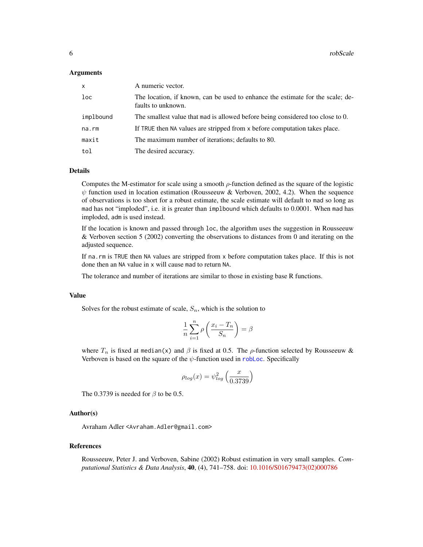#### <span id="page-5-0"></span>Arguments

| $\mathsf{x}$    | A numeric vector.                                                                                    |
|-----------------|------------------------------------------------------------------------------------------------------|
| 1 <sub>oc</sub> | The location, if known, can be used to enhance the estimate for the scale; de-<br>faults to unknown. |
| implbound       | The smallest value that mad is allowed before being considered too close to 0.                       |
| na.rm           | If TRUE then NA values are stripped from x before computation takes place.                           |
| maxit           | The maximum number of iterations; defaults to 80.                                                    |
| tol             | The desired accuracy.                                                                                |

#### Details

Computes the M-estimator for scale using a smooth  $\rho$ -function defined as the square of the logistic  $\psi$  function used in location estimation (Rousseeuw & Verboven, 2002, 4.2). When the sequence of observations is too short for a robust estimate, the scale estimate will default to mad so long as mad has not "imploded", i.e. it is greater than implbound which defaults to 0.0001. When mad has imploded, adm is used instead.

If the location is known and passed through loc, the algorithm uses the suggestion in Rousseeuw & Verboven section 5 (2002) converting the observations to distances from 0 and iterating on the adjusted sequence.

If na.rm is TRUE then NA values are stripped from x before computation takes place. If this is not done then an NA value in x will cause mad to return NA.

The tolerance and number of iterations are similar to those in existing base R functions.

#### Value

Solves for the robust estimate of scale,  $S_n$ , which is the solution to

$$
\frac{1}{n}\sum_{i=1}^{n}\rho\left(\frac{x_i-T_n}{S_n}\right)=\beta
$$

where  $T_n$  is fixed at median(x) and  $\beta$  is fixed at 0.5. The  $\rho$ -function selected by Rousseeuw & Verboven is based on the square of the  $\psi$ -function used in robloc. Specifically

$$
\rho_{log}(x) = \psi_{log}^2 \left(\frac{x}{0.3739}\right)
$$

The 0.3739 is needed for  $\beta$  to be 0.5.

#### Author(s)

Avraham Adler <Avraham.Adler@gmail.com>

#### References

Rousseeuw, Peter J. and Verboven, Sabine (2002) Robust estimation in very small samples. *Computational Statistics & Data Analysis*, 40, (4), 741–758. doi: [10.1016/S01679473\(02\)000786](https://doi.org/10.1016/S0167-9473(02)00078-6)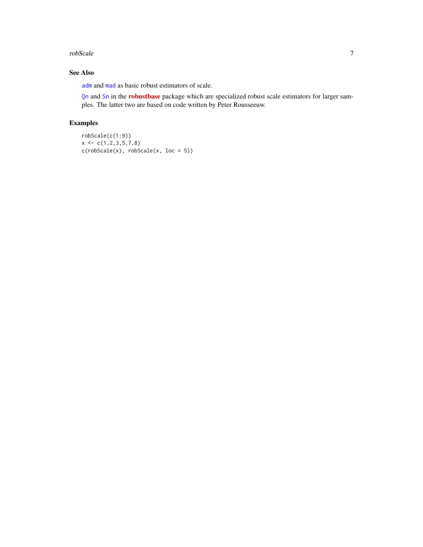#### <span id="page-6-0"></span>robScale 7 and 7 and 7 and 7 and 7 and 7 and 7 and 7 and 7 and 7 and 7 and 7 and 7 and 7 and 7 and 7 and 7 and 7 and 7 and 7 and 7 and 7 and 7 and 7 and 7 and 7 and 7 and 7 and 7 and 7 and 7 and 7 and 7 and 7 and 7 and 7 a

#### See Also

[adm](#page-2-1) and [mad](#page-0-0) as basic robust estimators of scale.

[Qn](#page-0-0) and [Sn](#page-0-0) in the [robustbase](https://CRAN.R-project.org/package=robustbase) package which are specialized robust scale estimators for larger samples. The latter two are based on code written by Peter Rousseeuw.

#### Examples

```
robScale(c(1:9))
x \leftarrow c(1, 2, 3, 5, 7, 8)c(robScale(x), robScale(x, loc = 5))
```